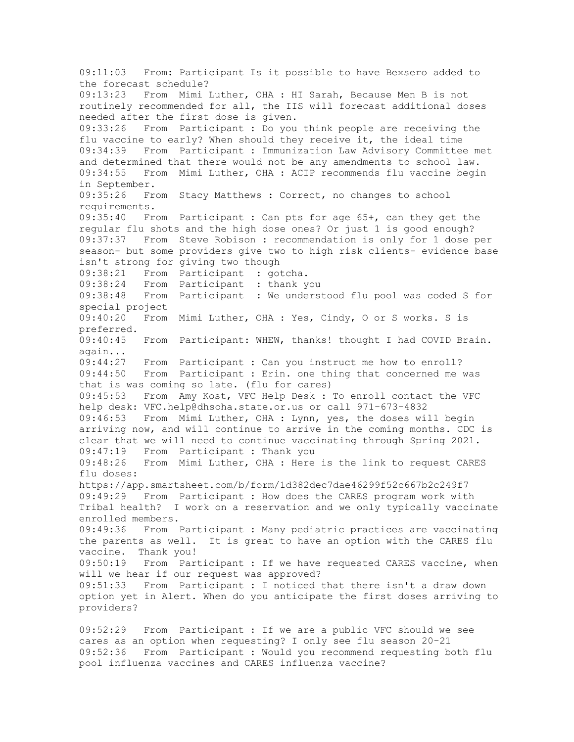09:11:03 From: Participant Is it possible to have Bexsero added to the forecast schedule? 09:13:23 From Mimi Luther, OHA : HI Sarah, Because Men B is not routinely recommended for all, the IIS will forecast additional doses needed after the first dose is given. 09:33:26 From Participant : Do you think people are receiving the flu vaccine to early? When should they receive it, the ideal time 09:34:39 From Participant : Immunization Law Advisory Committee met and determined that there would not be any amendments to school law. 09:34:55 From Mimi Luther, OHA : ACIP recommends flu vaccine begin in September.<br>09:35:26 Fre From Stacy Matthews : Correct, no changes to school requirements. 09:35:40 From Participant : Can pts for age 65+, can they get the regular flu shots and the high dose ones? Or just 1 is good enough? 09:37:37 From Steve Robison : recommendation is only for 1 dose per season- but some providers give two to high risk clients- evidence base isn't strong for giving two though 09:38:21 From Participant : gotcha. 09:38:24 From Participant : thank you 09:38:48 From Participant : We understood flu pool was coded S for special project 09:40:20 From Mimi Luther, OHA : Yes, Cindy, O or S works. S is preferred. 09:40:45 From Participant: WHEW, thanks! thought I had COVID Brain. again... 09:44:27 From Participant : Can you instruct me how to enroll? 09:44:50 From Participant : Erin. one thing that concerned me was that is was coming so late. (flu for cares) 09:45:53 From Amy Kost, VFC Help Desk : To enroll contact the VFC help desk: VFC.help@dhsoha.state.or.us or call 971-673-4832 09:46:53 From Mimi Luther, OHA : Lynn, yes, the doses will begin arriving now, and will continue to arrive in the coming months. CDC is clear that we will need to continue vaccinating through Spring 2021. 09:47:19 From Participant : Thank you 09:48:26 From Mimi Luther, OHA : Here is the link to request CARES flu doses: https://app.smartsheet.com/b/form/1d382dec7dae46299f52c667b2c249f7 09:49:29 From Participant : How does the CARES program work with Tribal health? I work on a reservation and we only typically vaccinate enrolled members.<br>09:49:36 From From Participant : Many pediatric practices are vaccinating the parents as well. It is great to have an option with the CARES flu vaccine. Thank you!<br>09:50:19 From Par From Participant : If we have requested CARES vaccine, when will we hear if our request was approved?<br>09:51:33 From Participant : I noticed t From Participant : I noticed that there isn't a draw down option yet in Alert. When do you anticipate the first doses arriving to providers? 09:52:29 From Participant : If we are a public VFC should we see

cares as an option when requesting? I only see flu season 20-21 09:52:36 From Participant : Would you recommend requesting both flu pool influenza vaccines and CARES influenza vaccine?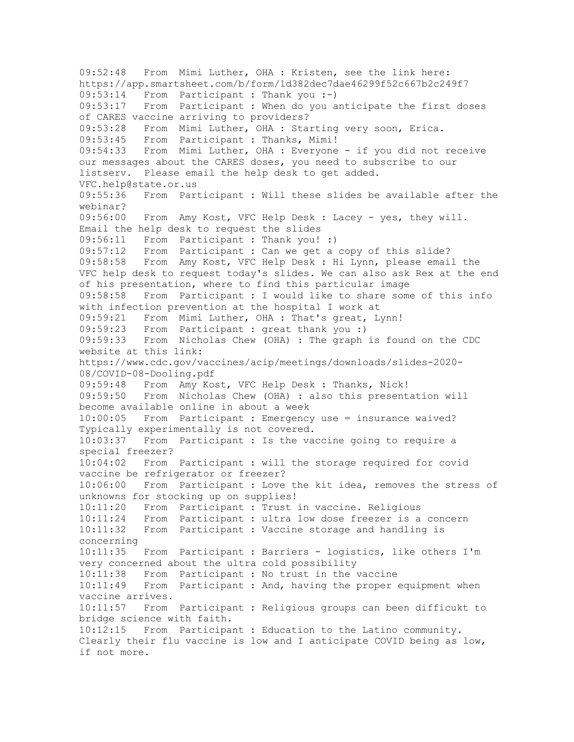09:52:48 From Mimi Luther, OHA : Kristen, see the link here: https://app.smartsheet.com/b/form/1d382dec7dae46299f52c667b2c249f7 09:53:14 From Participant : Thank you :-) 09:53:17 From Participant : When do you anticipate the first doses of CARES vaccine arriving to providers? 09:53:28 From Mimi Luther, OHA : Starting very soon, Erica. 09:53:45 From Participant : Thanks, Mimi! 09:54:33 From Mimi Luther, OHA : Everyone - if you did not receive our messages about the CARES doses, you need to subscribe to our listserv. Please email the help desk to get added. VFC.help@state.or.us 09:55:36 From Participant : Will these slides be available after the webinar? 09:56:00 From Amy Kost, VFC Help Desk : Lacey - yes, they will. Email the help desk to request the slides 09:56:11 From Participant : Thank you! :) 09:57:12 From Participant : Can we get a copy of this slide? 09:58:58 From Amy Kost, VFC Help Desk : Hi Lynn, please email the VFC help desk to request today's slides. We can also ask Rex at the end of his presentation, where to find this particular image<br>09:58:58 From Participant : I would like to share some From Participant : I would like to share some of this info with infection prevention at the hospital I work at 09:59:21 From Mimi Luther, OHA : That's great, Lynn! 09:59:23 From Participant : great thank you :) 09:59:33 From Nicholas Chew (OHA) : The graph is found on the CDC website at this link: https://www.cdc.gov/vaccines/acip/meetings/downloads/slides-2020- 08/COVID-08-Dooling.pdf 09:59:48 From Amy Kost, VFC Help Desk : Thanks, Nick! 09:59:50 From Nicholas Chew (OHA) : also this presentation will become available online in about a week 10:00:05 From Participant : Emergency use = insurance waived? Typically experimentally is not covered. 10:03:37 From Participant : Is the vaccine going to require a special freezer? 10:04:02 From Participant : will the storage required for covid vaccine be refrigerator or freezer? 10:06:00 From Participant : Love the kit idea, removes the stress of unknowns for stocking up on supplies! 10:11:20 From Participant : Trust in vaccine. Religious 10:11:24 From Participant : ultra low dose freezer is a concern 10:11:32 From Participant : Vaccine storage and handling is concerning 10:11:35 From Participant : Barriers - logistics, like others I'm very concerned about the ultra cold possibility 10:11:38 From Participant : No trust in the vaccine 10:11:49 From Participant : And, having the proper equipment when vaccine arrives.<br>10:11:57 From From Participant : Religious groups can been difficukt to bridge science with faith. 10:12:15 From Participant : Education to the Latino community. Clearly their flu vaccine is low and I anticipate COVID being as low, if not more.